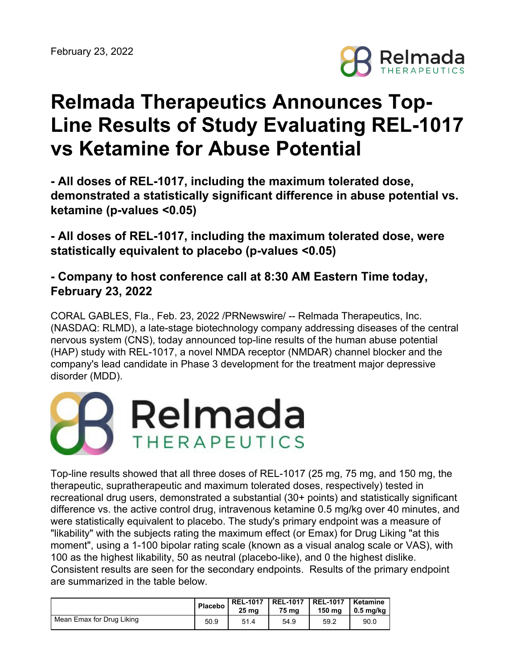

# **Relmada Therapeutics Announces Top-Line Results of Study Evaluating REL-1017 vs Ketamine for Abuse Potential**

**- All doses of REL-1017, including the maximum tolerated dose, demonstrated a statistically significant difference in abuse potential vs. ketamine (p-values <0.05)**

**- All doses of REL-1017, including the maximum tolerated dose, were statistically equivalent to placebo (p-values <0.05)**

**- Company to host conference call at 8:30 AM Eastern Time today, February 23, 2022**

CORAL GABLES, Fla., Feb. 23, 2022 /PRNewswire/ -- Relmada Therapeutics, Inc. (NASDAQ: RLMD), a late-stage biotechnology company addressing diseases of the central nervous system (CNS), today announced top-line results of the human abuse potential (HAP) study with REL-1017, a novel NMDA receptor (NMDAR) channel blocker and the company's lead candidate in Phase 3 development for the treatment major depressive disorder (MDD).



Top-line results showed that all three doses of REL-1017 (25 mg, 75 mg, and 150 mg, the therapeutic, supratherapeutic and maximum tolerated doses, respectively) tested in recreational drug users, demonstrated a substantial (30+ points) and statistically significant difference vs. the active control drug, intravenous ketamine 0.5 mg/kg over 40 minutes, and were statistically equivalent to placebo. The study's primary endpoint was a measure of "likability" with the subjects rating the maximum effect (or Emax) for Drug Liking "at this moment", using a 1-100 bipolar rating scale (known as a visual analog scale or VAS), with 100 as the highest likability, 50 as neutral (placebo-like), and 0 the highest dislike. Consistent results are seen for the secondary endpoints. Results of the primary endpoint are summarized in the table below.

|                           | Placebo | 25 mg | REL-1017   REL-1017   REL-1017<br>75 ma | 150 ma | Ketamine<br>$0.5$ mg/kg |
|---------------------------|---------|-------|-----------------------------------------|--------|-------------------------|
| Mean Emax for Drug Liking | 50.9    | 51.4  | 54.9                                    | 59.2   | 90.0                    |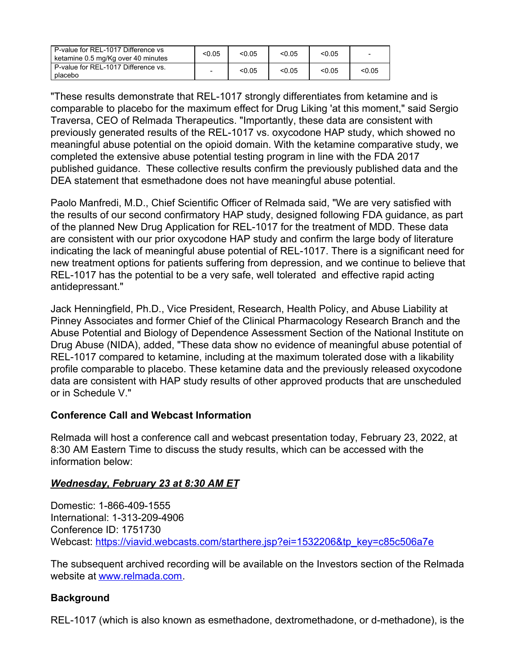| P-value for REL-1017 Difference vs<br>ketamine 0.5 mg/Kg over 40 minutes | < 0.05 | < 0.05 | < 0.05 | < 0.05 | $\overline{\phantom{a}}$ |
|--------------------------------------------------------------------------|--------|--------|--------|--------|--------------------------|
| P-value for REL-1017 Difference vs.<br>placebo                           |        | < 0.05 | < 0.05 | < 0.05 | < 0.05                   |

"These results demonstrate that REL-1017 strongly differentiates from ketamine and is comparable to placebo for the maximum effect for Drug Liking 'at this moment," said Sergio Traversa, CEO of Relmada Therapeutics. "Importantly, these data are consistent with previously generated results of the REL-1017 vs. oxycodone HAP study, which showed no meaningful abuse potential on the opioid domain. With the ketamine comparative study, we completed the extensive abuse potential testing program in line with the FDA 2017 published guidance. These collective results confirm the previously published data and the DEA statement that esmethadone does not have meaningful abuse potential.

Paolo Manfredi, M.D., Chief Scientific Officer of Relmada said, "We are very satisfied with the results of our second confirmatory HAP study, designed following FDA guidance, as part of the planned New Drug Application for REL-1017 for the treatment of MDD. These data are consistent with our prior oxycodone HAP study and confirm the large body of literature indicating the lack of meaningful abuse potential of REL-1017. There is a significant need for new treatment options for patients suffering from depression, and we continue to believe that REL-1017 has the potential to be a very safe, well tolerated and effective rapid acting antidepressant."

Jack Henningfield, Ph.D., Vice President, Research, Health Policy, and Abuse Liability at Pinney Associates and former Chief of the Clinical Pharmacology Research Branch and the Abuse Potential and Biology of Dependence Assessment Section of the National Institute on Drug Abuse (NIDA), added, "These data show no evidence of meaningful abuse potential of REL-1017 compared to ketamine, including at the maximum tolerated dose with a likability profile comparable to placebo. These ketamine data and the previously released oxycodone data are consistent with HAP study results of other approved products that are unscheduled or in Schedule V."

# **Conference Call and Webcast Information**

Relmada will host a conference call and webcast presentation today, February 23, 2022, at 8:30 AM Eastern Time to discuss the study results, which can be accessed with the information below:

# *Wednesday, February 23 at 8:30 AM ET*

Domestic: 1-866-409-1555 International: 1-313-209-4906 Conference ID: 1751730 Webcast: [https://viavid.webcasts.com/starthere.jsp?ei=1532206&tp\\_key=c85c506a7e](https://viavid.webcasts.com/starthere.jsp?ei=1532206&tp_key=c85c506a7e)

The subsequent archived recording will be available on the Investors section of the Relmada website at [www.relmada.com](http://www.relmada.com/).

# **Background**

REL-1017 (which is also known as esmethadone, dextromethadone, or d-methadone), is the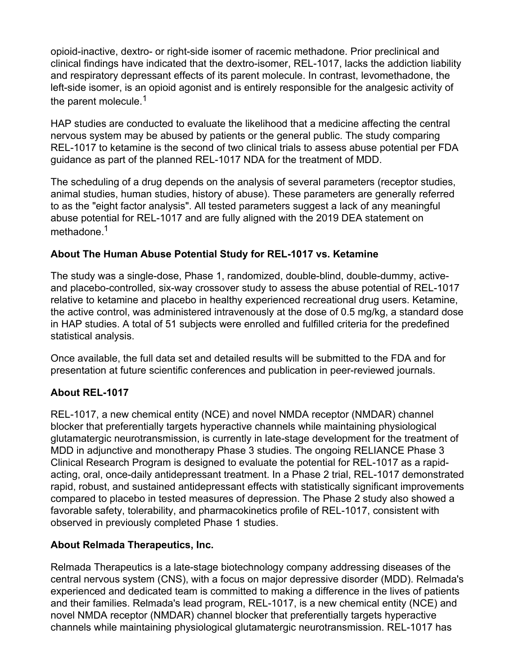opioid-inactive, dextro- or right-side isomer of racemic methadone. Prior preclinical and clinical findings have indicated that the dextro-isomer, REL-1017, lacks the addiction liability and respiratory depressant effects of its parent molecule. In contrast, levomethadone, the left-side isomer, is an opioid agonist and is entirely responsible for the analgesic activity of the parent molecule.<sup>1</sup>

HAP studies are conducted to evaluate the likelihood that a medicine affecting the central nervous system may be abused by patients or the general public. The study comparing REL-1017 to ketamine is the second of two clinical trials to assess abuse potential per FDA guidance as part of the planned REL-1017 NDA for the treatment of MDD.

The scheduling of a drug depends on the analysis of several parameters (receptor studies, animal studies, human studies, history of abuse). These parameters are generally referred to as the "eight factor analysis". All tested parameters suggest a lack of any meaningful abuse potential for REL-1017 and are fully aligned with the 2019 DEA statement on methadone.<sup>1</sup>

# **About The Human Abuse Potential Study for REL-1017 vs. Ketamine**

The study was a single-dose, Phase 1, randomized, double-blind, double-dummy, activeand placebo-controlled, six-way crossover study to assess the abuse potential of REL-1017 relative to ketamine and placebo in healthy experienced recreational drug users. Ketamine, the active control, was administered intravenously at the dose of 0.5 mg/kg, a standard dose in HAP studies. A total of 51 subjects were enrolled and fulfilled criteria for the predefined statistical analysis.

Once available, the full data set and detailed results will be submitted to the FDA and for presentation at future scientific conferences and publication in peer-reviewed journals.

# **About REL-1017**

REL-1017, a new chemical entity (NCE) and novel NMDA receptor (NMDAR) channel blocker that preferentially targets hyperactive channels while maintaining physiological glutamatergic neurotransmission, is currently in late-stage development for the treatment of MDD in adjunctive and monotherapy Phase 3 studies. The ongoing RELIANCE Phase 3 Clinical Research Program is designed to evaluate the potential for REL-1017 as a rapidacting, oral, once-daily antidepressant treatment. In a Phase 2 trial, REL-1017 demonstrated rapid, robust, and sustained antidepressant effects with statistically significant improvements compared to placebo in tested measures of depression. The Phase 2 study also showed a favorable safety, tolerability, and pharmacokinetics profile of REL-1017, consistent with observed in previously completed Phase 1 studies.

# **About Relmada Therapeutics, Inc.**

Relmada Therapeutics is a late-stage biotechnology company addressing diseases of the central nervous system (CNS), with a focus on major depressive disorder (MDD). Relmada's experienced and dedicated team is committed to making a difference in the lives of patients and their families. Relmada's lead program, REL-1017, is a new chemical entity (NCE) and novel NMDA receptor (NMDAR) channel blocker that preferentially targets hyperactive channels while maintaining physiological glutamatergic neurotransmission. REL-1017 has